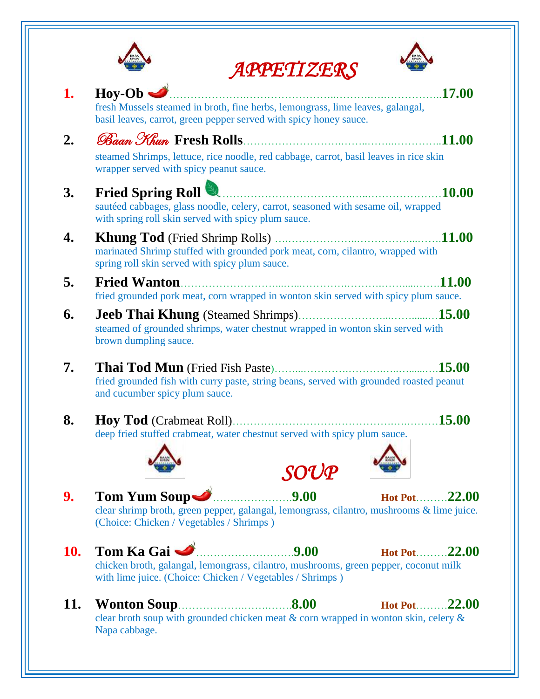

 *APPETIZERS* 



|             | ATTL'IIZL'AJ                                                                                                                                        |
|-------------|-----------------------------------------------------------------------------------------------------------------------------------------------------|
| 1.          | $\text{Hoy-Ob}$<br>17.00                                                                                                                            |
|             | fresh Mussels steamed in broth, fine herbs, lemongrass, lime leaves, galangal,<br>basil leaves, carrot, green pepper served with spicy honey sauce. |
| $2_{\cdot}$ |                                                                                                                                                     |
|             | steamed Shrimps, lettuce, rice noodle, red cabbage, carrot, basil leaves in rice skin<br>wrapper served with spicy peanut sauce.                    |
| 3.          | <b>Fried Spring Roll</b><br><b>10.00</b>                                                                                                            |
|             | sautéed cabbages, glass noodle, celery, carrot, seasoned with sesame oil, wrapped<br>with spring roll skin served with spicy plum sauce.            |
| 4.          | <b>11.00</b>                                                                                                                                        |
|             | marinated Shrimp stuffed with grounded pork meat, corn, cilantro, wrapped with<br>spring roll skin served with spicy plum sauce.                    |
| 5.          | .11.00<br><b>Fried Wanton.</b>                                                                                                                      |
|             | fried grounded pork meat, corn wrapped in wonton skin served with spicy plum sauce.                                                                 |
| 6.          | steamed of grounded shrimps, water chestnut wrapped in wonton skin served with<br>brown dumpling sauce.                                             |
| 7.          | fried grounded fish with curry paste, string beans, served with grounded roasted peanut<br>and cucumber spicy plum sauce.                           |
| 8.          | 15.00                                                                                                                                               |
|             | deep fried stuffed crabmeat, water chestnut served with spicy plum sauce.                                                                           |
|             | SOUP                                                                                                                                                |
| 9.          | Tom Yum Soup<br>9.00<br>Hot Pot22.00                                                                                                                |
|             | clear shrimp broth, green pepper, galangal, lemongrass, cilantro, mushrooms & lime juice.<br>(Choice: Chicken / Vegetables / Shrimps)               |
| 10.         | Tom Ka Gai<br>9.00<br>Hot Pot22.00                                                                                                                  |
|             | chicken broth, galangal, lemongrass, cilantro, mushrooms, green pepper, coconut milk<br>with lime juice. (Choice: Chicken / Vegetables / Shrimps)   |
| 11.         | Hot Pot22.00                                                                                                                                        |
|             | clear broth soup with grounded chicken meat & corn wrapped in wonton skin, celery &<br>Napa cabbage.                                                |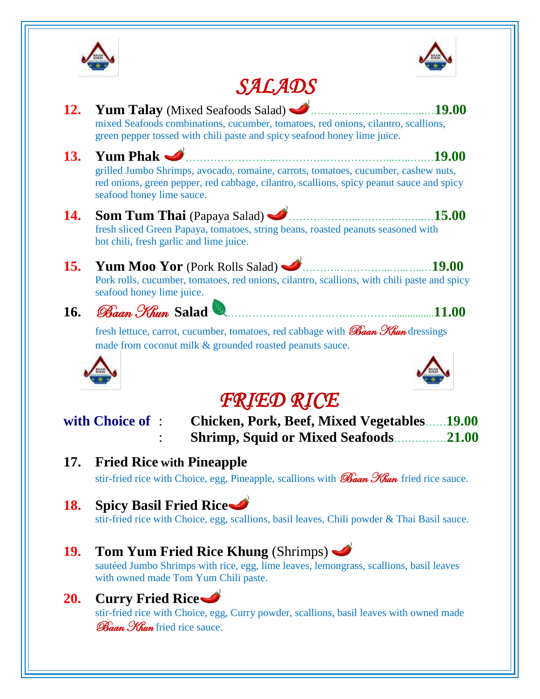



# *SALADS*

|            | <i>SALAVS</i>                                                                                                                                                                                               |
|------------|-------------------------------------------------------------------------------------------------------------------------------------------------------------------------------------------------------------|
| <b>12.</b> | Yum Talay (Mixed Seafoods Salad)<br>19.00<br>mixed Seafoods combinations, cucumber, tomatoes, red onions, cilantro, scallions,<br>green pepper tossed with chili paste and spicy seafood honey lime juice.  |
| 13.        | <b>Yum Phak</b><br><b>19.00</b>                                                                                                                                                                             |
|            | grilled Jumbo Shrimps, avocado, romaine, carrots, tomatoes, cucumber, cashew nuts,<br>red onions, green pepper, red cabbage, cilantro, scallions, spicy peanut sauce and spicy<br>seafood honey lime sauce. |
| <b>14.</b> | 15.00<br><b>Som Tum Thai</b> (Papaya Salad)<br>fresh sliced Green Papaya, tomatoes, string beans, roasted peanuts seasoned with<br>hot chili, fresh garlic and lime juice.                                  |
| <b>15.</b> | 19.00<br><b>Yum Moo Yor</b> (Pork Rolls Salad)<br>Pork rolls, cucumber, tomatoes, red onions, cilantro, scallions, with chili paste and spicy<br>seafood honey lime juice.                                  |
| <b>16.</b> | <i>Baan Khun</i> Salad<br>11.00                                                                                                                                                                             |
|            | fresh lettuce, carrot, cucumber, tomatoes, red cabbage with <b>Baan Khun</b> dressings<br>made from coconut milk & grounded roasted peanuts sauce.                                                          |
|            | <b>FRIED RICE</b>                                                                                                                                                                                           |
|            | with Choice of :<br><b>Chicken, Pork, Beef, Mixed Vegetables19.00</b><br><b>Shrimp, Squid or Mixed Seafoods</b><br>.21.00                                                                                   |
| 17.        | <b>Fried Rice with Pineapple</b>                                                                                                                                                                            |
|            | stir-fried rice with Choice, egg, Pineapple, scallions with <i>Baan Khun</i> fried rice sauce.                                                                                                              |
| <b>18.</b> | <b>Spicy Basil Fried Rice</b><br>stir-fried rice with Choice, egg, scallions, basil leaves, Chili powder & Thai Basil sauce.                                                                                |
| <b>19.</b> | Tom Yum Fried Rice Khung (Shrimps)<br>sautéed Jumbo Shrimps with rice, egg, lime leaves, lemongrass, scallions, basil leaves<br>with owned made Tom Yum Chili paste.                                        |

## **20. Curry Fried Rice**

stir-fried rice with Choice, egg, Curry powder, scallions, basil leaves with owned made Baan Khun fried rice sauce.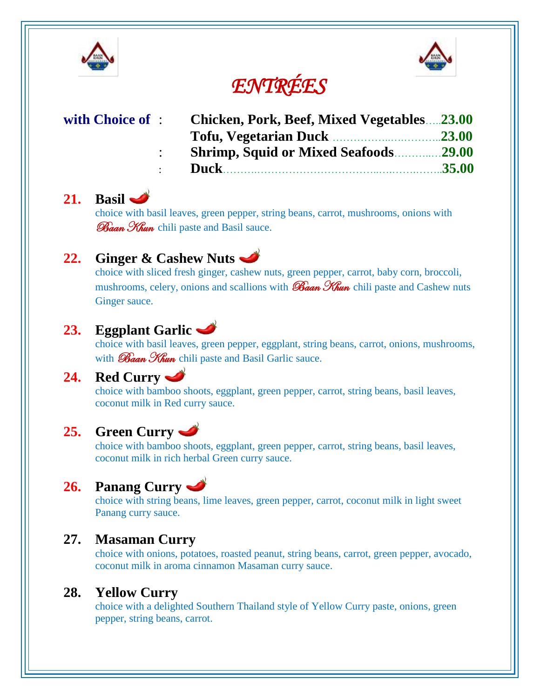



# *ENTRÉES*

| with Choice of : | <b>Chicken, Pork, Beef, Mixed Vegetables23.00</b> |  |
|------------------|---------------------------------------------------|--|
|                  |                                                   |  |
|                  | <b>Shrimp, Squid or Mixed Seafoods29.00</b>       |  |
|                  |                                                   |  |

#### **21. Basil**

choice with basil leaves, green pepper, string beans, carrot, mushrooms, onions with **Baan Khun** chili paste and Basil sauce.

### **22. Ginger & Cashew Nuts**

choice with sliced fresh ginger, cashew nuts, green pepper, carrot, baby corn, broccoli, mushrooms, celery, onions and scallions with  $\mathcal{B}_{\text{diam}}$   $\mathcal{H}_{\text{turn}}$  chili paste and Cashew nuts Ginger sauce.

### **23. Eggplant Garlic**

choice with basil leaves, green pepper, eggplant, string beans, carrot, onions, mushrooms, with  $\mathscr{B}$ aan  $\mathscr{H}$ un chili paste and Basil Garlic sauce.

#### **24. Red Curry**

choice with bamboo shoots, eggplant, green pepper, carrot, string beans, basil leaves, coconut milk in Red curry sauce.

### **25. Green Curry**

choice with bamboo shoots, eggplant, green pepper, carrot, string beans, basil leaves, coconut milk in rich herbal Green curry sauce.

## **26. Panang Curry**

choice with string beans, lime leaves, green pepper, carrot, coconut milk in light sweet Panang curry sauce.

#### **27. Masaman Curry**

choice with onions, potatoes, roasted peanut, string beans, carrot, green pepper, avocado, coconut milk in aroma cinnamon Masaman curry sauce.

#### **28. Yellow Curry**

choice with a delighted Southern Thailand style of Yellow Curry paste, onions, green pepper, string beans, carrot.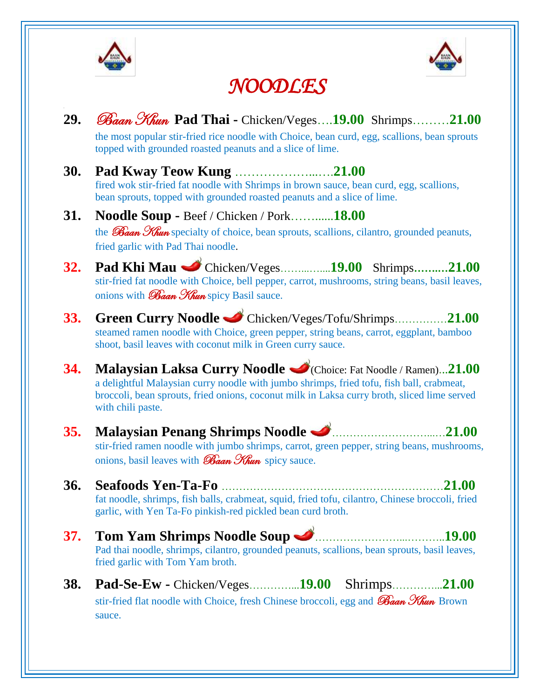



# *NOODLES*

| 29.        | Baan Khun Pad Thai - Chicken/Veges19.00 Shrimps21.00<br>the most popular stir-fried rice noodle with Choice, bean curd, egg, scallions, bean sprouts<br>topped with grounded roasted peanuts and a slice of lime.                                                               |
|------------|---------------------------------------------------------------------------------------------------------------------------------------------------------------------------------------------------------------------------------------------------------------------------------|
| <b>30.</b> | fired wok stir-fried fat noodle with Shrimps in brown sauce, bean curd, egg, scallions,<br>bean sprouts, topped with grounded roasted peanuts and a slice of lime.                                                                                                              |
| <b>31.</b> | Noodle Soup - Beef / Chicken / Pork18.00<br>the <i>Baan Khun</i> specialty of choice, bean sprouts, scallions, cilantro, grounded peanuts,<br>fried garlic with Pad Thai noodle.                                                                                                |
| 32.        | Pad Khi Mau Chicken/Veges19.00 Shrimps21.00<br>stir-fried fat noodle with Choice, bell pepper, carrot, mushrooms, string beans, basil leaves,<br>onions with <i>Baan Khun</i> spicy Basil sauce.                                                                                |
| <b>33.</b> | Green Curry Noodle Chicken/Veges/Tofu/Shrimps21.00<br>steamed ramen noodle with Choice, green pepper, string beans, carrot, eggplant, bamboo<br>shoot, basil leaves with coconut milk in Green curry sauce.                                                                     |
| 34.        | Malaysian Laksa Curry Noodle C(Choice: Fat Noodle / Ramen)21.00<br>a delightful Malaysian curry noodle with jumbo shrimps, fried tofu, fish ball, crabmeat,<br>broccoli, bean sprouts, fried onions, coconut milk in Laksa curry broth, sliced lime served<br>with chili paste. |
| <b>35.</b> | Malaysian Penang Shrimps Noodle <u>Samanan and 21.00</u><br>stir-fried ramen noodle with jumbo shrimps, carrot, green pepper, string beans, mushrooms,<br>onions, basil leaves with <i>Baan Khun</i> spicy sauce.                                                               |
| 36.        | fat noodle, shrimps, fish balls, crabmeat, squid, fried tofu, cilantro, Chinese broccoli, fried<br>garlic, with Yen Ta-Fo pinkish-red pickled bean curd broth.                                                                                                                  |
| <b>37.</b> | Tom Yam Shrimps Noodle Soup <u>Sammann 19.00</u><br>Pad thai noodle, shrimps, cilantro, grounded peanuts, scallions, bean sprouts, basil leaves,<br>fried garlic with Tom Yam broth.                                                                                            |
| <b>38.</b> | stir-fried flat noodle with Choice, fresh Chinese broccoli, egg and Baan Khun Brown<br>sauce.                                                                                                                                                                                   |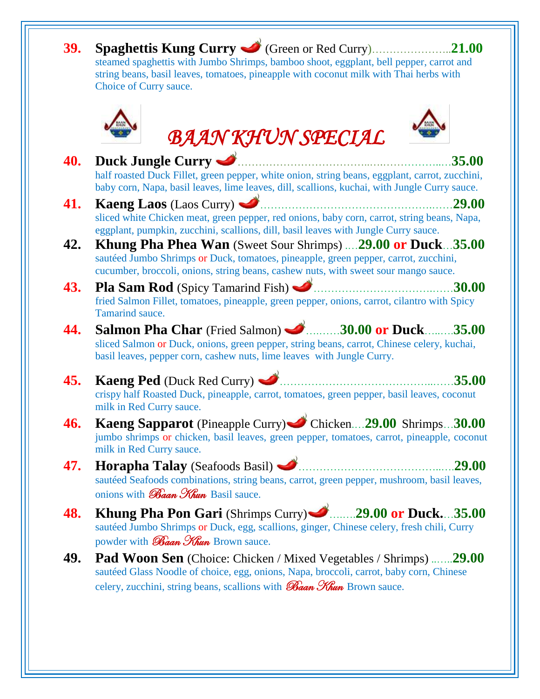| 39. | Spaghettis Kung Curry Circen or Red Curry<br>$\ldots \ldots \ldots 21.00$<br>steamed spaghettis with Jumbo Shrimps, bamboo shoot, eggplant, bell pepper, carrot and<br>string beans, basil leaves, tomatoes, pineapple with coconut milk with Thai herbs with<br>Choice of Curry sauce. |                          |
|-----|-----------------------------------------------------------------------------------------------------------------------------------------------------------------------------------------------------------------------------------------------------------------------------------------|--------------------------|
|     | <b>BAAN KHUN SPECIAL</b>                                                                                                                                                                                                                                                                |                          |
| 40. | Duck Jungle Curry<br>half roasted Duck Fillet, green pepper, white onion, string beans, eggplant, carrot, zucchini,<br>baby corn, Napa, basil leaves, lime leaves, dill, scallions, kuchai, with Jungle Curry sauce.                                                                    | 35.00                    |
| 41. | <b>Kaeng Laos</b> (Laos Curry)<br>sliced white Chicken meat, green pepper, red onions, baby corn, carrot, string beans, Napa,<br>eggplant, pumpkin, zucchini, scallions, dill, basil leaves with Jungle Curry sauce.                                                                    | 29.00                    |
| 42. | <b>Khung Pha Phea Wan</b> (Sweet Sour Shrimps)  29.00 or Duck 35.00<br>sautéed Jumbo Shrimps or Duck, tomatoes, pineapple, green pepper, carrot, zucchini,<br>cucumber, broccoli, onions, string beans, cashew nuts, with sweet sour mango sauce.                                       |                          |
| 43. | Pla Sam Rod (Spicy Tamarind Fish)                                                                                                                                                                                                                                                       | 30.00                    |
|     | fried Salmon Fillet, tomatoes, pineapple, green pepper, onions, carrot, cilantro with Spicy<br>Tamarind sauce.                                                                                                                                                                          |                          |
| 44. | Salmon Pha Char (Fried Salmon) 30.00 or Duck<br>sliced Salmon or Duck, onions, green pepper, string beans, carrot, Chinese celery, kuchai,<br>basil leaves, pepper corn, cashew nuts, lime leaves with Jungle Curry.                                                                    |                          |
| 45. | Kaeng Ped (Duck Red Curry)<br>crispy half Roasted Duck, pineapple, carrot, tomatoes, green pepper, basil leaves, coconut<br>milk in Red Curry sauce.                                                                                                                                    |                          |
| 46. | Kaeng Sapparot (Pineapple Curry) Chicken29.00 Shrimps30.00<br>jumbo shrimps or chicken, basil leaves, green pepper, tomatoes, carrot, pineapple, coconut<br>milk in Red Curry sauce.                                                                                                    |                          |
| 47. | Horapha Talay (Seafoods Basil)<br>sautéed Seafoods combinations, string beans, carrot, green pepper, mushroom, basil leaves,<br>onions with <b>Baan Khun</b> Basil sauce.                                                                                                               | .35.00<br>35.00<br>29.00 |
| 48. | Khung Pha Pon Gari (Shrimps Curry) 29.00 or Duck35.00<br>sautéed Jumbo Shrimps or Duck, egg, scallions, ginger, Chinese celery, fresh chili, Curry<br>powder with <i>Baan Khun</i> Brown sauce.                                                                                         |                          |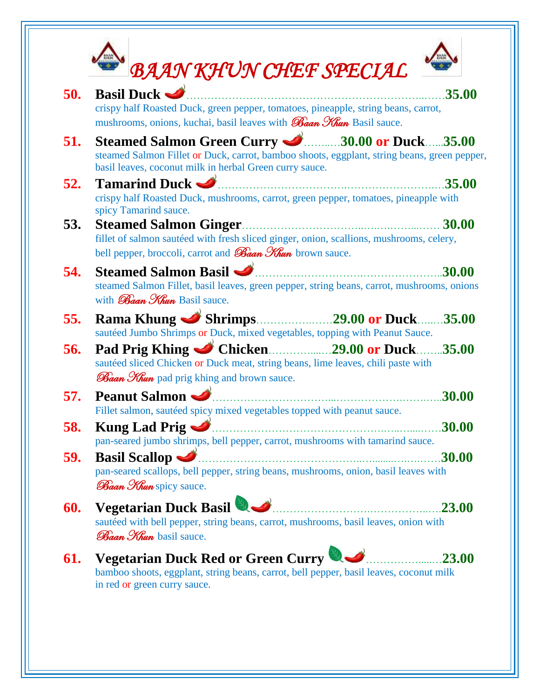| 50. | <b>Basil Duck <math>\triangleleft</math></b>                                                                                                                                                            | 35.00  |
|-----|---------------------------------------------------------------------------------------------------------------------------------------------------------------------------------------------------------|--------|
|     | crispy half Roasted Duck, green pepper, tomatoes, pineapple, string beans, carrot,<br>mushrooms, onions, kuchai, basil leaves with <b>Baan Khun</b> Basil sauce.                                        |        |
| 51. | Steamed Salmon Green Curry 30.00 or Duck35.00<br>steamed Salmon Fillet or Duck, carrot, bamboo shoots, eggplant, string beans, green pepper,<br>basil leaves, coconut milk in herbal Green curry sauce. |        |
| 52. | <b>Tamarind Duck <math>\rightarrow</math></b><br>crispy half Roasted Duck, mushrooms, carrot, green pepper, tomatoes, pineapple with<br>spicy Tamarind sauce.                                           | 35.00  |
| 53. | <b>Steamed Salmon Ginger.</b><br>.<br>fillet of salmon sautéed with fresh sliced ginger, onion, scallions, mushrooms, celery,<br>bell pepper, broccoli, carrot and <i>Baan Khun</i> brown sauce.        | 30.00  |
| 54. | Steamed Salmon Basil<br>steamed Salmon Fillet, basil leaves, green pepper, string beans, carrot, mushrooms, onions<br>with <b>Baan Khun Basil sauce.</b>                                                | 30.00  |
| 55. | sautéed Jumbo Shrimps or Duck, mixed vegetables, topping with Peanut Sauce.                                                                                                                             | .35.00 |
| 56. | sautéed sliced Chicken or Duck meat, string beans, lime leaves, chili paste with<br>Baan Khun pad prig khing and brown sauce.                                                                           |        |
| 57. | <b>Peanut Salmon</b><br>Fillet salmon, sautéed spicy mixed vegetables topped with peanut sauce.                                                                                                         | 30.00  |
| 58. | <b>Kung Lad Prig</b><br>pan-seared jumbo shrimps, bell pepper, carrot, mushrooms with tamarind sauce.                                                                                                   | 30.00  |
| 59. | <b>Basil Scallop</b><br>pan-seared scallops, bell pepper, string beans, mushrooms, onion, basil leaves with<br><b>Baan Khun</b> spicy sauce.                                                            | 30.00  |
| 60. | Vegetarian Duck Basil<br>sautéed with bell pepper, string beans, carrot, mushrooms, basil leaves, onion with<br><b>Baan Khun</b> basil sauce.                                                           | .23.00 |
| 61. | Vegetarian Duck Red or Green Curry                                                                                                                                                                      |        |